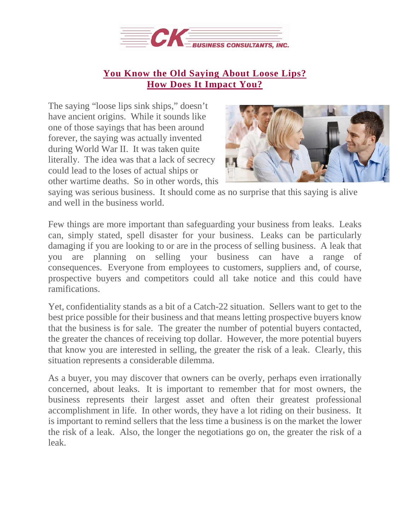

## **You Know the Old [Saying](https://deal-studio.com/top-four-statistics-need-know-ownership-transition/) About Loose Lips? How Does It [Impact](https://deal-studio.com/top-four-statistics-need-know-ownership-transition/) You?**

The saying "loose lips sink ships," doesn't have ancient origins. While it sounds like one of those sayings that has been around forever, the saying was actually invented during World War II. It was taken quite literally. The idea was that a lack of secrecy could lead to the loses of actual ships or other wartime deaths. So in other words, this



saying was serious business. It should come as no surprise that this saying is alive and well in the business world.

Few things are more important than safeguarding your business from leaks. Leaks can, simply stated, spell disaster for your business. Leaks can be particularly damaging if you are looking to or are in the process of selling business. A leak that you are planning on selling your business can have a range of consequences. Everyone from employees to customers, suppliers and, of course, prospective buyers and competitors could all take notice and this could have ramifications.

Yet, confidentiality stands as a bit of a Catch-22 situation. Sellers want to get to the best price possible for their business and that means letting prospective buyers know that the business is for sale. The greater the number of potential buyers contacted, the greater the chances of receiving top dollar. However, the more potential buyers that know you are interested in selling, the greater the risk of a leak. Clearly, this situation represents a considerable dilemma.

As a buyer, you may discover that owners can be overly, perhaps even irrationally concerned, about leaks. It is important to remember that for most owners, the business represents their largest asset and often their greatest professional accomplishment in life. In other words, they have a lot riding on their business. It is important to remind sellers that the less time a business is on the market the lower the risk of a leak. Also, the longer the negotiations go on, the greater the risk of a leak.